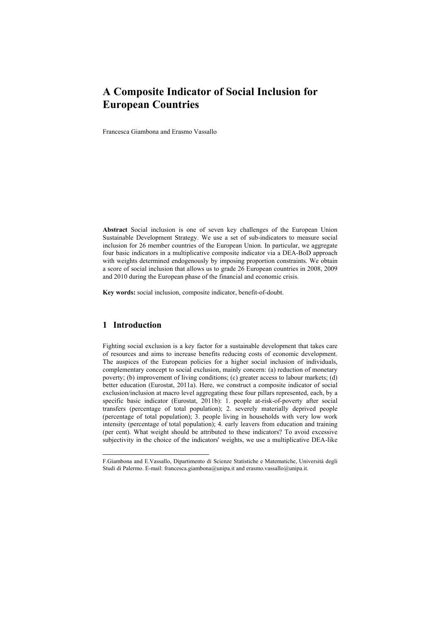# A Composite Indicator of Social Inclusion for European Countries

Francesca Giambona and Erasmo Vassallo

Abstract Social inclusion is one of seven key challenges of the European Union Sustainable Development Strategy. We use a set of sub-indicators to measure social inclusion for 26 member countries of the European Union. In particular, we aggregate four basic indicators in a multiplicative composite indicator via a DEA-BoD approach with weights determined endogenously by imposing proportion constraints. We obtain a score of social inclusion that allows us to grade 26 European countries in 2008, 2009 and 2010 during the European phase of the financial and economic crisis.

Key words: social inclusion, composite indicator, benefit-of-doubt.

## 1 Introduction

-

Fighting social exclusion is a key factor for a sustainable development that takes care of resources and aims to increase benefits reducing costs of economic development. The auspices of the European policies for a higher social inclusion of individuals, complementary concept to social exclusion, mainly concern: (a) reduction of monetary poverty; (b) improvement of living conditions; (c) greater access to labour markets; (d) better education (Eurostat, 2011a). Here, we construct a composite indicator of social exclusion/inclusion at macro level aggregating these four pillars represented, each, by a specific basic indicator (Eurostat, 2011b): 1. people at-risk-of-poverty after social transfers (percentage of total population); 2. severely materially deprived people (percentage of total population); 3. people living in households with very low work intensity (percentage of total population); 4. early leavers from education and training (per cent). What weight should be attributed to these indicators? To avoid excessive subjectivity in the choice of the indicators' weights, we use a multiplicative DEA-like

F.Giambona and E.Vassallo, Dipartimento di Scienze Statistiche e Matematiche, Università degli Studi di Palermo. E-mail: francesca.giambona@unipa.it and erasmo.vassallo@unipa.it.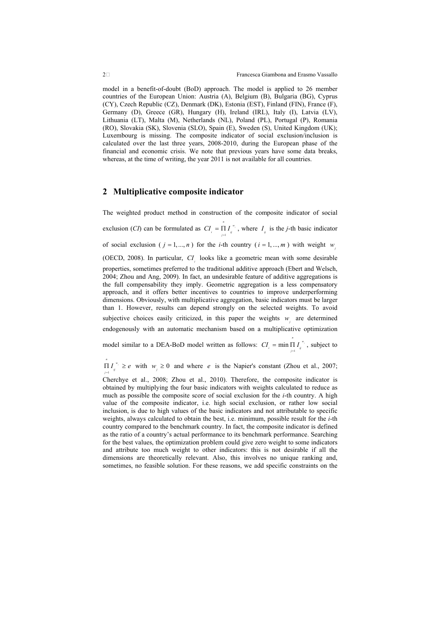model in a benefit-of-doubt (BoD) approach. The model is applied to 26 member countries of the European Union: Austria (A), Belgium (B), Bulgaria (BG), Cyprus (CY), Czech Republic (CZ), Denmark (DK), Estonia (EST), Finland (FIN), France (F), Germany (D), Greece (GR), Hungary (H), Ireland (IRL), Italy (I), Latvia (LV), Lithuania (LT), Malta (M), Netherlands (NL), Poland (PL), Portugal (P), Romania (RO), Slovakia (SK), Slovenia (SLO), Spain (E), Sweden (S), United Kingdom (UK); Luxembourg is missing. The composite indicator of social exclusion/inclusion is calculated over the last three years, 2008-2010, during the European phase of the financial and economic crisis. We note that previous years have some data breaks, whereas, at the time of writing, the year 2011 is not available for all countries.

## 2 Multiplicative composite indicator

The weighted product method in construction of the composite indicator of social exclusion (*CI*) can be formulated as  $CI_i = \prod_{j=1}^{n}$  $\frac{n}{\mathbf{I}}$   $\mathbf{r}$   $\frac{w}{\mathbf{I}}$  $CI_i = \prod_{j=1} I_{ij}^{r_{ij}}$ , where  $I_{ij}$  is the *j*-th basic indicator of social exclusion ( $j = 1, ..., n$ ) for the *i*-th country ( $i = 1, ..., m$ ) with weight  $w_j$ (OECD, 2008). In particular,  $CI_i$  looks like a geometric mean with some desirable properties, sometimes preferred to the traditional additive approach (Ebert and Welsch, 2004; Zhou and Ang, 2009). In fact, an undesirable feature of additive aggregations is the full compensability they imply. Geometric aggregation is a less compensatory approach, and it offers better incentives to countries to improve underperforming dimensions. Obviously, with multiplicative aggregation, basic indicators must be larger than 1. However, results can depend strongly on the selected weights. To avoid subjective choices easily criticized, in this paper the weights  $w_j$  are determined endogenously with an automatic mechanism based on a multiplicative optimization

model similar to a DEA-BoD model written as follows:  $CI_i = \min_{j=1}^n I_j^*$  $CI_i = \min_{j=1} \prod_{j=1}^{\infty} I_j^{(w_j)}$ , subject to

1 j w n  $\Pi I_{ij}^{\tau_{ij}} \ge e$  with  $w_j \ge 0$  and where e is the Napier's constant (Zhou et al., 2007; =

Cherchye et al., 2008; Zhou et al., 2010). Therefore, the composite indicator is obtained by multiplying the four basic indicators with weights calculated to reduce as much as possible the composite score of social exclusion for the i-th country. A high value of the composite indicator, i.e. high social exclusion, or rather low social inclusion, is due to high values of the basic indicators and not attributable to specific weights, always calculated to obtain the best, i.e. minimum, possible result for the i-th country compared to the benchmark country. In fact, the composite indicator is defined as the ratio of a country's actual performance to its benchmark performance. Searching for the best values, the optimization problem could give zero weight to some indicators and attribute too much weight to other indicators: this is not desirable if all the dimensions are theoretically relevant. Also, this involves no unique ranking and, sometimes, no feasible solution. For these reasons, we add specific constraints on the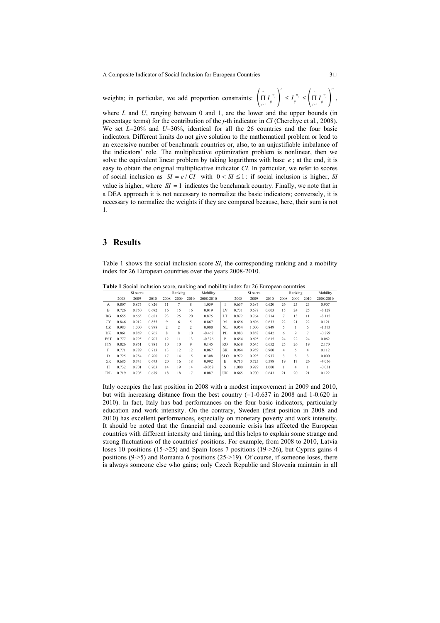A Composite Indicator of Social Inclusion for European Countries 3>

weights; in particular, we add proportion constraints:  $\left(\prod_{j=1} I_j^{\pi_j} \right) \leq I_j^{\pi_j} \leq \left(\prod_{j=1} I_j^{\pi_j} \right)$  $\left(\begin{array}{ccc} n & \\ \hline \end{array}\right)^L$  w  $\left(\begin{array}{ccc} n & \\ \hline \end{array}\right)^U$  $\left(\prod_{j=1}^{|W_j|} I_j^{\binom{W_j}{W_j}}\right) \leq I_j^{\binom{W_j}{W_j}} \leq \left(\prod_{j=1}^{|W_j|} I_j^{\binom{W_j}{W_j}}\right)$ 

where  $L$  and  $U$ , ranging between 0 and 1, are the lower and the upper bounds (in percentage terms) for the contribution of the j-th indicator in CI (Cherchye et al., 2008). We set  $L=20\%$  and  $U=30\%$ , identical for all the 26 countries and the four basic indicators. Different limits do not give solution to the mathematical problem or lead to an excessive number of benchmark countries or, also, to an unjustifiable imbalance of the indicators' role. The multiplicative optimization problem is nonlinear, then we solve the equivalent linear problem by taking logarithms with base  $e$ ; at the end, it is easy to obtain the original multiplicative indicator CI. In particular, we refer to scores of social inclusion as  $SI = e/CI$  with  $0 < SI \le 1$ : if social inclusion is higher, SI value is higher, where  $SI = 1$  indicates the benchmark country. Finally, we note that in a DEA approach it is not necessary to normalize the basic indicators; conversely, it is necessary to normalize the weights if they are compared because, here, their sum is not 1.

#### 3 Results

Table 1 shows the social inclusion score SI, the corresponding ranking and a mobility index for 26 European countries over the years 2008-2010.

Table 1 Social inclusion score, ranking and mobility index for 26 European countries

|            |       | SI score |       |                | Ranking        |                | Mobility  |            |       | SI score |       |                     | Ranking                 |      | Mobility  |
|------------|-------|----------|-------|----------------|----------------|----------------|-----------|------------|-------|----------|-------|---------------------|-------------------------|------|-----------|
|            | 2008  | 2009     | 2010  | 2008           | 2009           | 2010           | 2008-2010 |            | 2008  | 2009     | 2010  | 2008                | 2009                    | 2010 | 2008-2010 |
| A          | 0.807 | 0.875    | 0.826 | 11             | 7              | 8              | 1.059     |            | 0.637 | 0.687    | 0.620 | 26                  | 23                      | 23   | 0.907     |
| B          | 0.726 | 0.750    | 0.692 | 16             | 15             | 16             | 0.019     | LV         | 0.731 | 0.687    | 0.603 | 15                  | 24                      | 25   | $-3.128$  |
| BG         | 0.655 | 0.665    | 0.651 | 23             | 25             | 20             | 0.875     | LT         | 0.872 | 0.764    | 0.714 | $\tau$              | 13                      | 11   | $-3.112$  |
| <b>CY</b>  | 0.846 | 0.912    | 0.855 | 9              | 6              | 5              | 0.867     | M          | 0.656 | 0.696    | 0.633 | 22                  | 21                      | 22   | 0.121     |
| CZ.        | 0.983 | 1.000    | 0.998 | $\overline{c}$ | $\overline{c}$ | $\overline{c}$ | 0.000     | NL         | 0.954 | 1.000    | 0.849 | 5                   |                         | 6    | $-1.373$  |
| DK         | 0.861 | 0.859    | 0.765 | 8              | 8              | 10             | $-0.467$  | PL         | 0.883 | 0.858    | 0.842 | 6                   | 9                       | 7    | $-0.299$  |
| <b>EST</b> | 0.777 | 0.795    | 0.707 | 12             | 11             | 13             | $-0.376$  | P          | 0.654 | 0.695    | 0.615 | 24                  | 22                      | 24   | 0.062     |
| <b>FIN</b> | 0.826 | 0.851    | 0.781 | 10             | 10             | 9              | 0.145     | RO.        | 0.638 | 0.645    | 0.652 | 25                  | 26                      | 19   | 2.170     |
| F          | 0.771 | 0.789    | 0.713 | 13             | 12             | 12             | 0.067     | <b>SK</b>  | 0.964 | 0.959    | 0.900 | $\overline{4}$      | 5                       | 4    | 0.112     |
| D          | 0.725 | 0.754    | 0.700 | 17             | 14             | 15             | 0.308     | <b>SLO</b> | 0.972 | 0.993    | 0.937 | $\ddot{\mathbf{3}}$ | $\overline{\mathbf{3}}$ | 3    | 0.000     |
| <b>GR</b>  | 0.685 | 0.743    | 0.673 | 20             | 16             | 18             | 0.992     | E.         | 0.713 | 0.723    | 0.598 | 19                  | 17                      | 26   | $-4.056$  |
| H          | 0.732 | 0.701    | 0.703 | 14             | 19             | 14             | $-0.058$  | S          | 1.000 | 0.979    | 1.000 |                     | $\overline{4}$          |      | $-0.031$  |
| IRL        | 0.719 | 0.705    | 0.679 | 18             | 18             | 17             | 0.087     | UK         | 0.665 | 0.700    | 0.643 | 21                  | 20                      | 21   | 0.122     |

Italy occupies the last position in 2008 with a modest improvement in 2009 and 2010, but with increasing distance from the best country  $(=1-0.637)$  in 2008 and 1-0.620 in 2010). In fact, Italy has bad performances on the four basic indicators, particularly education and work intensity. On the contrary, Sweden (first position in 2008 and 2010) has excellent performances, especially on monetary poverty and work intensity. It should be noted that the financial and economic crisis has affected the European countries with different intensity and timing, and this helps to explain some strange and strong fluctuations of the countries' positions. For example, from 2008 to 2010, Latvia loses 10 positions (15->25) and Spain loses 7 positions (19->26), but Cyprus gains 4 positions (9->5) and Romania 6 positions (25->19). Of course, if someone loses, there is always someone else who gains; only Czech Republic and Slovenia maintain in all